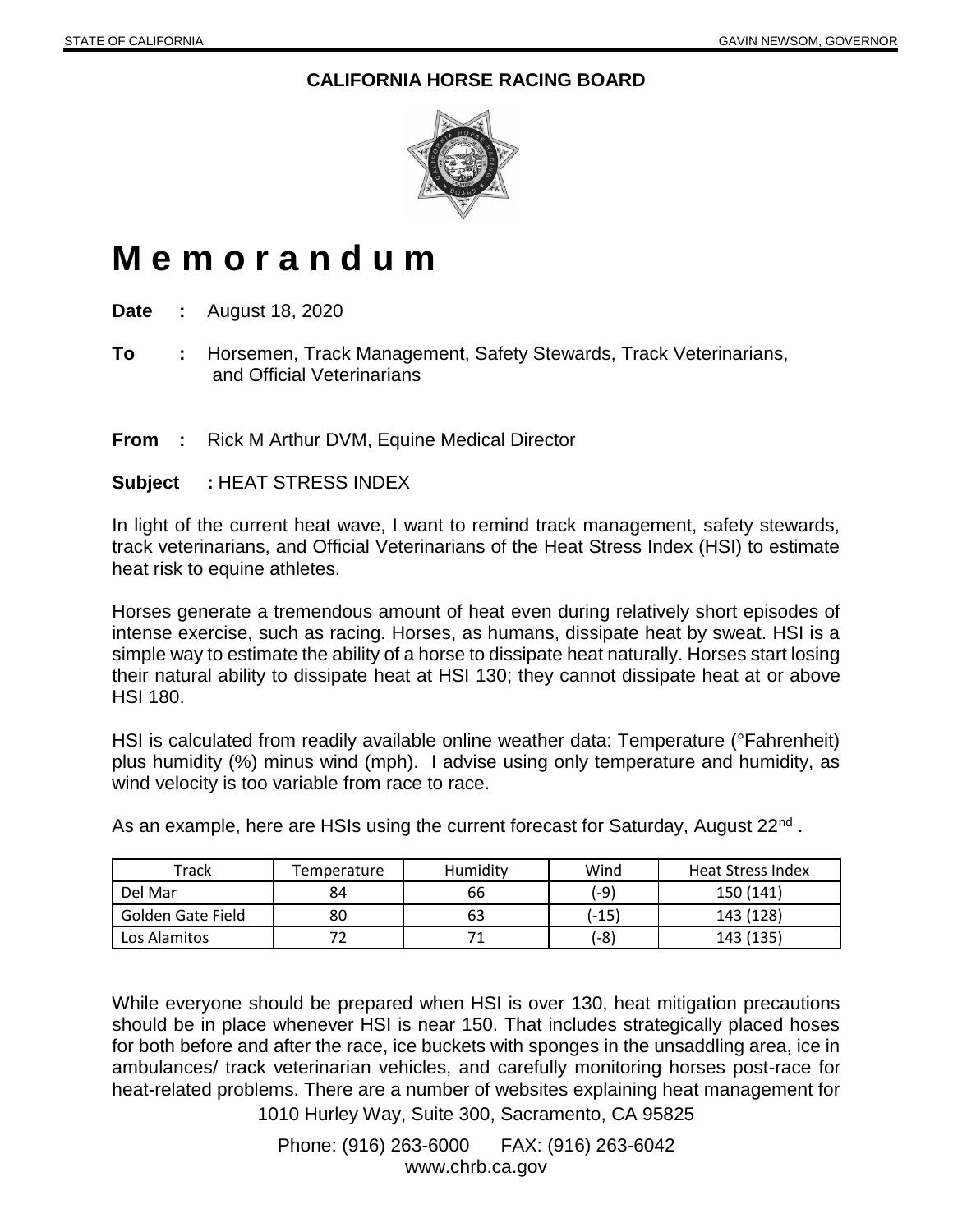## **CALIFORNIA HORSE RACING BOARD**



## **M e m o r a n d u m**

**Date :** August 18, 2020

**To :** Horsemen, Track Management, Safety Stewards, Track Veterinarians, and Official Veterinarians

**From :** Rick M Arthur DVM, Equine Medical Director

**Subject :** HEAT STRESS INDEX

In light of the current heat wave, I want to remind track management, safety stewards, track veterinarians, and Official Veterinarians of the Heat Stress Index (HSI) to estimate heat risk to equine athletes.

Horses generate a tremendous amount of heat even during relatively short episodes of intense exercise, such as racing. Horses, as humans, dissipate heat by sweat. HSI is a simple way to estimate the ability of a horse to dissipate heat naturally. Horses start losing their natural ability to dissipate heat at HSI 130; they cannot dissipate heat at or above HSI 180.

HSI is calculated from readily available online weather data: Temperature (°Fahrenheit) plus humidity (%) minus wind (mph). I advise using only temperature and humidity, as wind velocity is too variable from race to race.

As an example, here are HSIs using the current forecast for Saturday, August 22<sup>nd</sup>.

| Track             | Temperature | Humidity | Wind   | <b>Heat Stress Index</b> |
|-------------------|-------------|----------|--------|--------------------------|
| Del Mar           | 84          | 66       | $(-9)$ | 150 (141)                |
| Golden Gate Field | 80          | 63       | (-15)  | 143 (128)                |
| Los Alamitos      |             |          | (-8)   | 143 (135)                |

While everyone should be prepared when HSI is over 130, heat mitigation precautions should be in place whenever HSI is near 150. That includes strategically placed hoses for both before and after the race, ice buckets with sponges in the unsaddling area, ice in ambulances/ track veterinarian vehicles, and carefully monitoring horses post-race for heat-related problems. There are a number of websites explaining heat management for

1010 Hurley Way, Suite 300, Sacramento, CA 95825

Phone: (916) 263-6000 FAX: (916) 263-6042 www.chrb.ca.gov